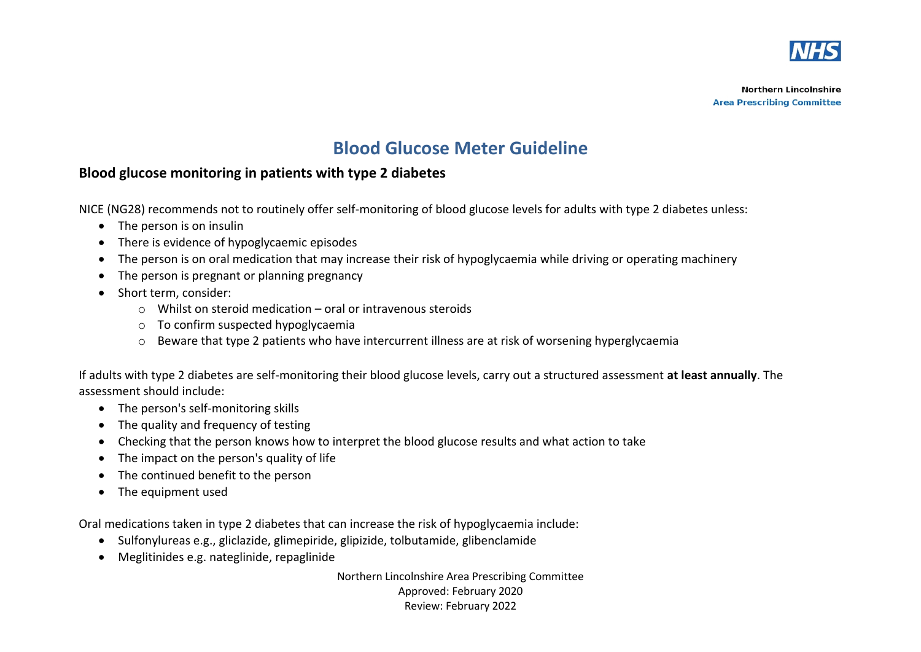

# **Blood Glucose Meter Guideline**

# **Blood glucose monitoring in patients with type 2 diabetes**

NICE (NG28) recommends not to routinely offer self-monitoring of blood glucose levels for adults with type 2 diabetes unless:

- The person is on insulin
- There is evidence of hypoglycaemic episodes
- The person is on oral medication that may increase their risk of hypoglycaemia while driving or operating machinery
- The person is pregnant or planning pregnancy
- Short term, consider:
	- $\circ$  Whilst on steroid medication oral or intravenous steroids
	- o To confirm suspected hypoglycaemia
	- o Beware that type 2 patients who have intercurrent illness are at risk of worsening hyperglycaemia

If adults with type 2 diabetes are self-monitoring their blood glucose levels, carry out a structured assessment **at least annually**. The assessment should include:

- The person's self-monitoring skills
- The quality and frequency of testing
- Checking that the person knows how to interpret the blood glucose results and what action to take
- The impact on the person's quality of life
- The continued benefit to the person
- The equipment used

Oral medications taken in type 2 diabetes that can increase the risk of hypoglycaemia include:

- Sulfonylureas e.g., gliclazide, glimepiride, glipizide, tolbutamide, glibenclamide
- Meglitinides e.g. nateglinide, repaglinide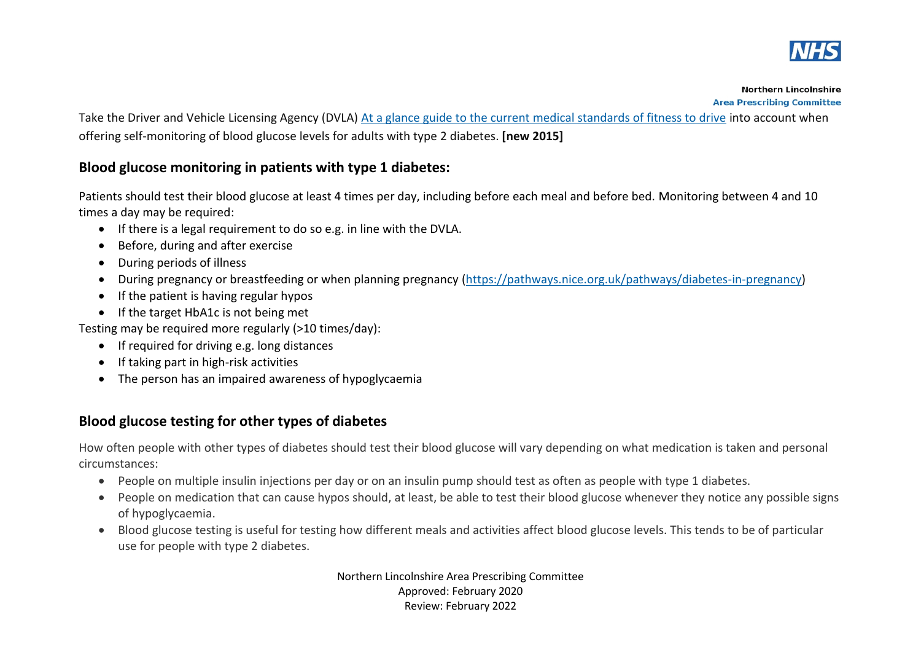

Take the Driver and Vehicle Licensing Agency (DVLA) [At a glance guide to the current medical standards of fitness to drive](http://www.gov.uk/government/publications/at-a-glance) into account when offering self-monitoring of blood glucose levels for adults with type 2 diabetes. **[new 2015]**

# **Blood glucose monitoring in patients with type 1 diabetes:**

Patients should test their blood glucose at least 4 times per day, including before each meal and before bed. Monitoring between 4 and 10 times a day may be required:

- If there is a legal requirement to do so e.g. in line with the DVLA.
- Before, during and after exercise
- During periods of illness
- During pregnancy or breastfeeding or when planning pregnancy [\(https://pathways.nice.org.uk/pathways/diabetes-in-pregnancy\)](https://pathways.nice.org.uk/pathways/diabetes-in-pregnancy)
- If the patient is having regular hypos
- If the target HbA1c is not being met

Testing may be required more regularly (>10 times/day):

- If required for driving e.g. long distances
- If taking part in high-risk activities
- The person has an impaired awareness of hypoglycaemia

# **Blood glucose testing for other types of diabetes**

How often people with other types of diabetes should test their blood glucose will vary depending on what medication is taken and personal circumstances:

- People on multiple insulin injections per day or on an insulin pump should test as often as people with type 1 diabetes.
- People on medication that can cause hypos should, at least, be able to test their blood glucose whenever they notice any possible signs of hypoglycaemia.
- Blood glucose testing is useful for testing how different meals and activities affect blood glucose levels. This tends to be of particular use for people with type 2 diabetes.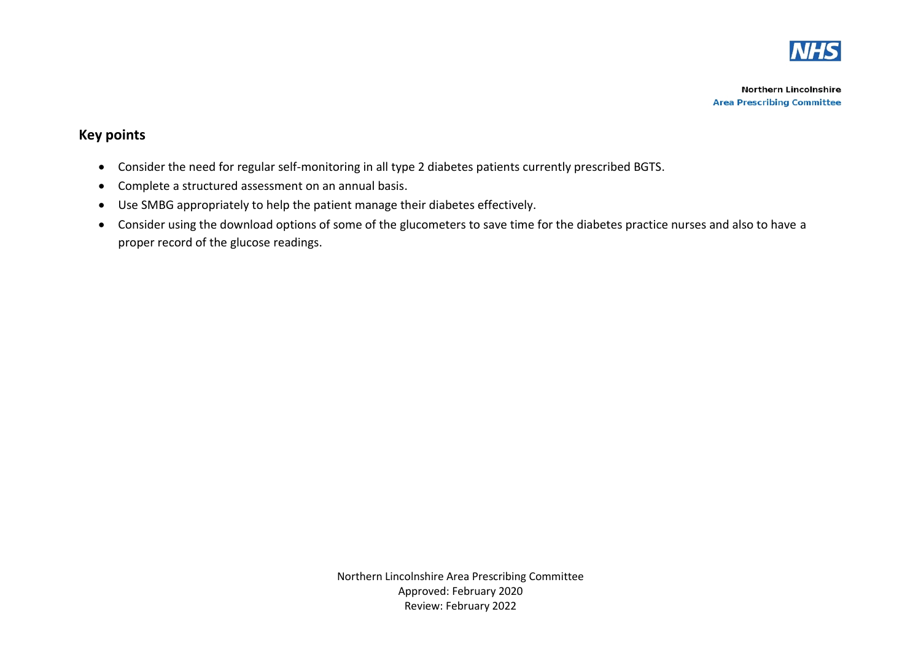

## **Key points**

- Consider the need for regular self-monitoring in all type 2 diabetes patients currently prescribed BGTS.
- Complete a structured assessment on an annual basis.
- Use SMBG appropriately to help the patient manage their diabetes effectively.
- Consider using the download options of some of the glucometers to save time for the diabetes practice nurses and also to have a proper record of the glucose readings.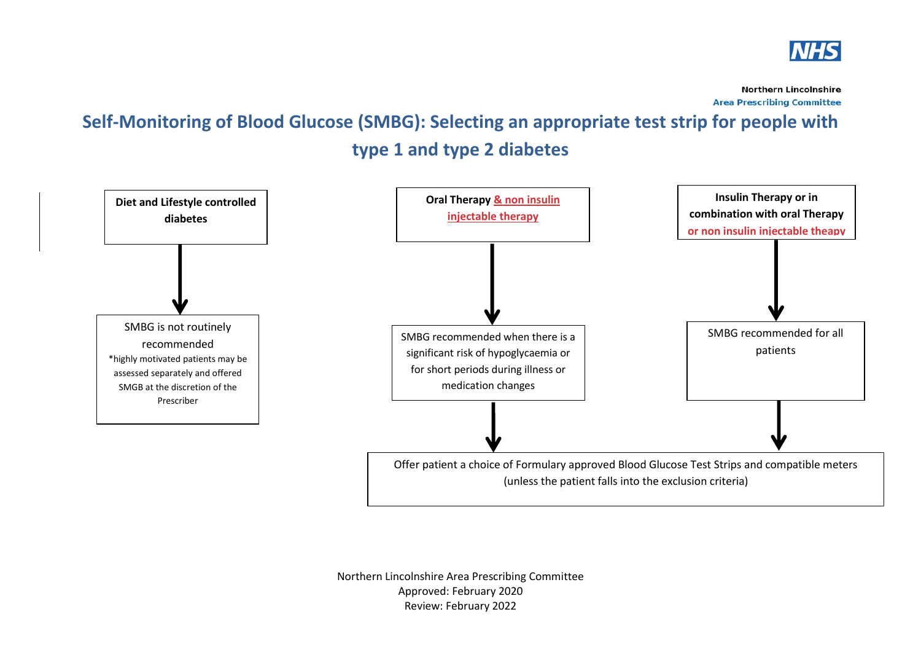

# **Self-Monitoring of Blood Glucose (SMBG): Selecting an appropriate test strip for people with type 1 and type 2 diabetes**

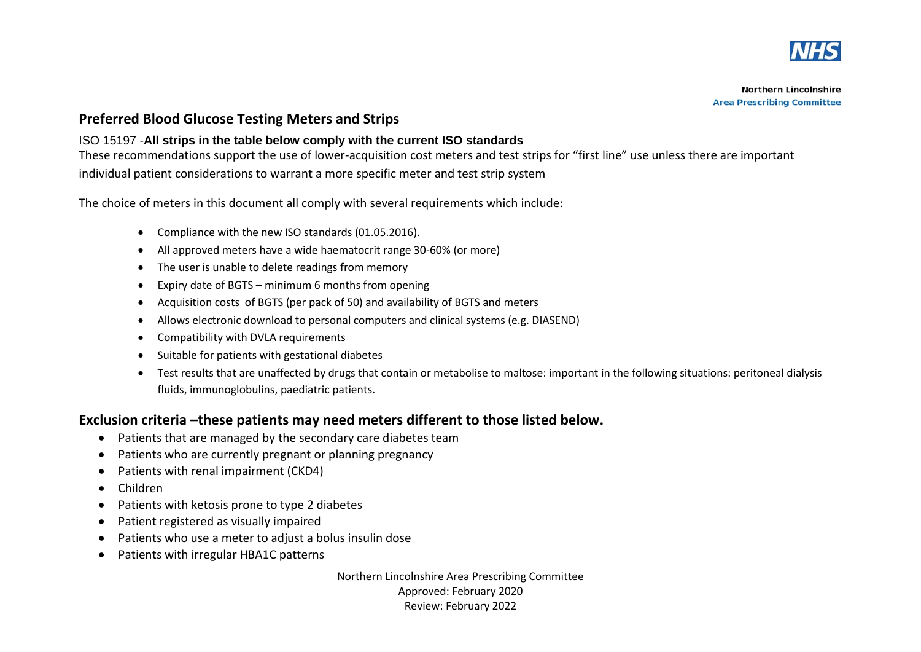

## **Preferred Blood Glucose Testing Meters and Strips**

### ISO 15197 -**All strips in the table below comply with the current ISO standards**

These recommendations support the use of lower-acquisition cost meters and test strips for "first line" use unless there are important individual patient considerations to warrant a more specific meter and test strip system

The choice of meters in this document all comply with several requirements which include:

- Compliance with the new ISO standards (01.05.2016).
- All approved meters have a wide haematocrit range 30-60% (or more)
- The user is unable to delete readings from memory
- Expiry date of BGTS minimum 6 months from opening
- Acquisition costs of BGTS (per pack of 50) and availability of BGTS and meters
- Allows electronic download to personal computers and clinical systems (e.g. DIASEND)
- Compatibility with DVLA requirements
- Suitable for patients with gestational diabetes
- Test results that are unaffected by drugs that contain or metabolise to maltose: important in the following situations: peritoneal dialysis fluids, immunoglobulins, paediatric patients.

### **Exclusion criteria –these patients may need meters different to those listed below.**

- Patients that are managed by the secondary care diabetes team
- Patients who are currently pregnant or planning pregnancy
- Patients with renal impairment (CKD4)
- Children
- Patients with ketosis prone to type 2 diabetes
- Patient registered as visually impaired
- Patients who use a meter to adjust a bolus insulin dose
- Patients with irregular HBA1C patterns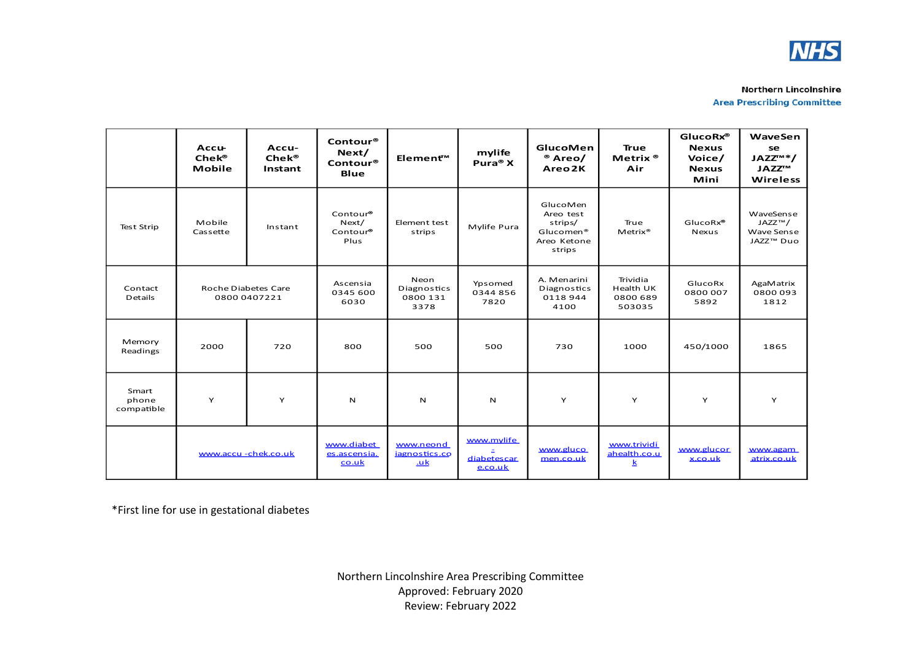

|                              | <b>Accu-</b><br>Chek <sup>®</sup><br><b>Mobile</b> | Accu-<br>Chek <sup>®</sup><br>Instant | Contour®<br>Next/<br>Contour <sup>®</sup><br><b>Blue</b> | Element <sup>™</sup>                    | mylife<br>Pura <sup>®</sup> X        | GlucoMen<br><sup>®</sup> Areo/<br>Areo <sub>2K</sub>                               | <b>True</b><br>Metrix <sup>®</sup><br>Air              | GlucoRx®<br><b>Nexus</b><br>Voice/<br><b>Nexus</b><br>Mini | WaveSen<br>se<br>JAZZ™*/<br><b>JAZZ™</b><br><b>Wireless</b> |
|------------------------------|----------------------------------------------------|---------------------------------------|----------------------------------------------------------|-----------------------------------------|--------------------------------------|------------------------------------------------------------------------------------|--------------------------------------------------------|------------------------------------------------------------|-------------------------------------------------------------|
| <b>Test Strip</b>            | Mobile<br>Cassette                                 | Instant                               | Contour®<br>Next/<br>Contour®<br>Plus                    | Element test<br>strips                  | Mylife Pura                          | GlucoMen<br>Areo test<br>strips/<br>Glucomen <sup>®</sup><br>Areo Ketone<br>strips | True<br>Metrix <sup>®</sup>                            | GlucoRx <sup>®</sup><br><b>Nexus</b>                       | WaveSense<br>JAZZ™/<br>Wave Sense<br>JAZZ™ Duo              |
| Contact<br>Details           | <b>Roche Diabetes Care</b><br>0800 0407221         |                                       | Ascensia<br>0345 600<br>6030                             | Neon<br>Diagnostics<br>0800 131<br>3378 | Ypsomed<br>0344856<br>7820           | A. Menarini<br>Diagnostics<br>0118944<br>4100                                      | Trividia<br>Health UK<br>0800 689<br>503035            | GlucoRx<br>0800 007<br>5892                                | AgaMatrix<br>0800093<br>1812                                |
| Memory<br>Readings           | 2000                                               | 720                                   | 800                                                      | 500                                     | 500                                  | 730                                                                                | 1000                                                   | 450/1000                                                   | 1865                                                        |
| Smart<br>phone<br>compatible | Y                                                  | Y                                     | $\mathsf N$                                              | $\mathsf{N}$                            | ${\sf N}$                            | Y                                                                                  | Y                                                      | Y                                                          | Y                                                           |
|                              | www.accu-chek.co.uk                                |                                       | www.diabet<br>es.ascensia.<br>co.uk                      | www.neond<br>iagnostics.co<br>.uk       | www.mvlife<br>diabetescar<br>e.co.uk | www.gluco<br>men.co.uk                                                             | www.trividi<br>ahealth.co.u<br>$\overline{\mathbf{k}}$ | www.glucor<br>x.co.uk                                      | www.agam<br>atrix.co.uk                                     |

\*First line for use in gestational diabetes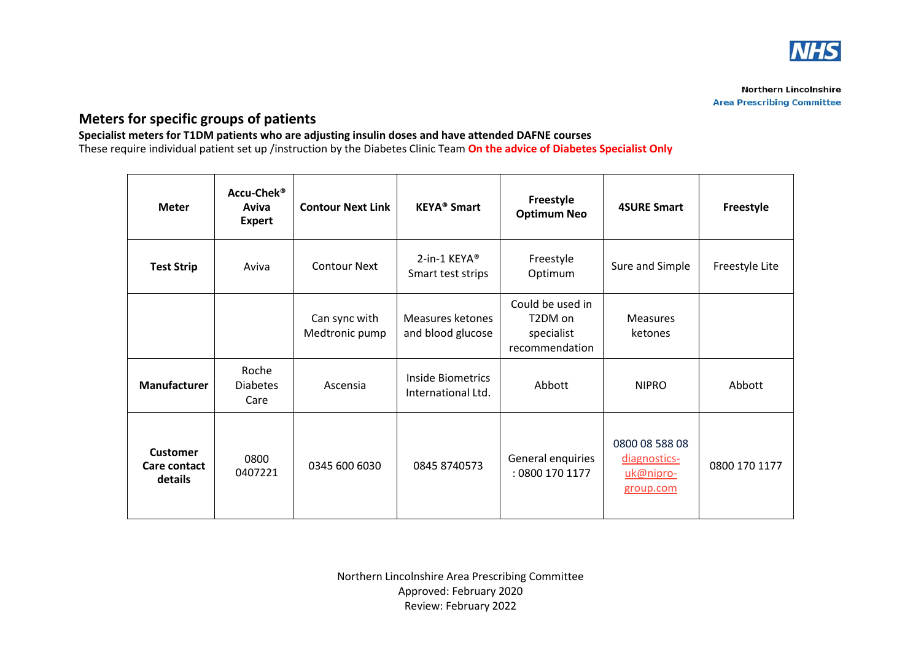

# **Meters for specific groups of patients**

#### **Specialist meters for T1DM patients who are adjusting insulin doses and have attended DAFNE courses**  These require individual patient set up /instruction by the Diabetes Clinic Team **On the advice of Diabetes Specialist Only**

| <b>Meter</b>                               | Accu-Chek®<br>Aviva<br><b>Expert</b> | <b>Contour Next Link</b>        | <b>KEYA<sup>®</sup> Smart</b>                 | Freestyle<br><b>Optimum Neo</b>                                          | <b>4SURE Smart</b>                                       | Freestyle      |
|--------------------------------------------|--------------------------------------|---------------------------------|-----------------------------------------------|--------------------------------------------------------------------------|----------------------------------------------------------|----------------|
| <b>Test Strip</b>                          | Aviva                                | <b>Contour Next</b>             | 2-in-1 KEYA <sup>®</sup><br>Smart test strips | Freestyle<br>Optimum                                                     | Sure and Simple                                          | Freestyle Lite |
|                                            |                                      | Can sync with<br>Medtronic pump | Measures ketones<br>and blood glucose         | Could be used in<br>T <sub>2</sub> DM on<br>specialist<br>recommendation | <b>Measures</b><br>ketones                               |                |
| Manufacturer                               | Roche<br><b>Diabetes</b><br>Care     | Ascensia                        | Inside Biometrics<br>International Ltd.       | Abbott                                                                   | <b>NIPRO</b>                                             | Abbott         |
| <b>Customer</b><br>Care contact<br>details | 0800<br>0407221                      | 0345 600 6030                   | 0845 8740573                                  | General enquiries<br>: 0800 170 1177                                     | 0800 08 588 08<br>diagnostics-<br>uk@nipro-<br>group.com | 0800 170 1177  |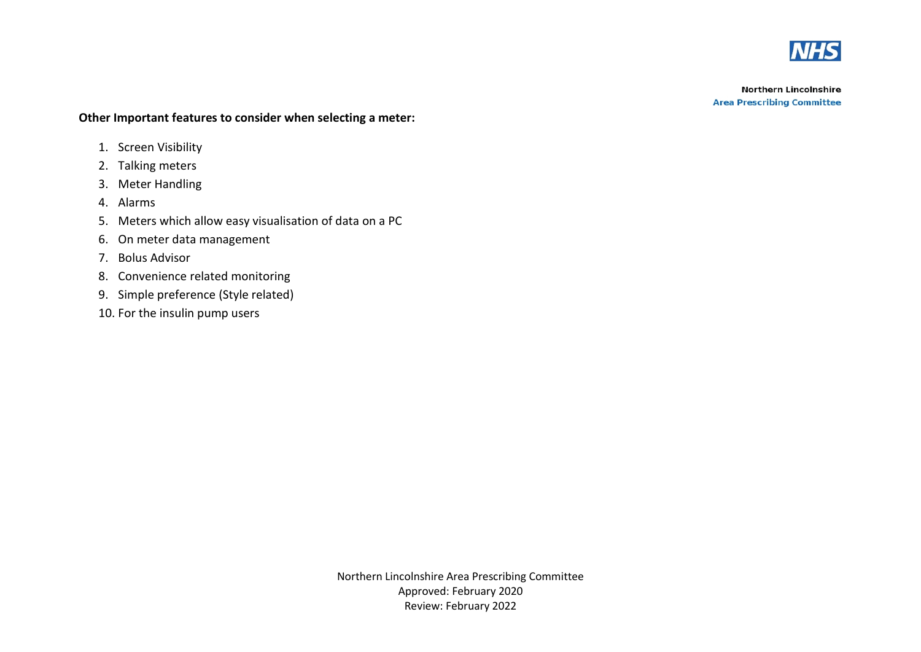

#### **Other Important features to consider when selecting a meter:**

- 1. Screen Visibility
- 2. Talking meters
- 3. Meter Handling
- 4. Alarms
- 5. Meters which allow easy visualisation of data on a PC
- 6. On meter data management
- 7. Bolus Advisor
- 8. Convenience related monitoring
- 9. Simple preference (Style related)
- 10. For the insulin pump users